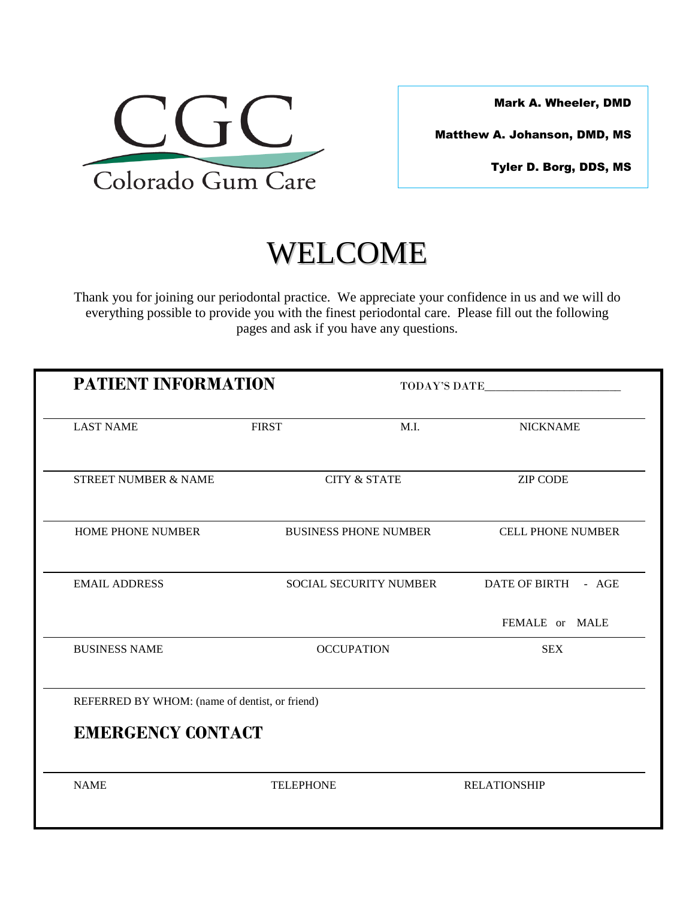

Mark A. Wheeler, DMD

Matthew A. Johanson, DMD, MS

Tyler D. Borg, DDS, MS

# WELCOME

Thank you for joining our periodontal practice. We appreciate your confidence in us and we will do everything possible to provide you with the finest periodontal care. Please fill out the following pages and ask if you have any questions.

| <b>PATIENT INFORMATION</b>                     |                  |                               | TODAY'S DATE             |  |
|------------------------------------------------|------------------|-------------------------------|--------------------------|--|
| <b>LAST NAME</b>                               | <b>FIRST</b>     | M.I.                          | <b>NICKNAME</b>          |  |
| <b>STREET NUMBER &amp; NAME</b>                |                  | <b>CITY &amp; STATE</b>       | <b>ZIP CODE</b>          |  |
| <b>HOME PHONE NUMBER</b>                       |                  | <b>BUSINESS PHONE NUMBER</b>  | <b>CELL PHONE NUMBER</b> |  |
| <b>EMAIL ADDRESS</b>                           |                  | <b>SOCIAL SECURITY NUMBER</b> | DATE OF BIRTH - AGE      |  |
|                                                |                  |                               | FEMALE or MALE           |  |
| <b>BUSINESS NAME</b>                           |                  | <b>OCCUPATION</b>             | <b>SEX</b>               |  |
| REFERRED BY WHOM: (name of dentist, or friend) |                  |                               |                          |  |
| <b>EMERGENCY CONTACT</b>                       |                  |                               |                          |  |
| <b>NAME</b>                                    | <b>TELEPHONE</b> |                               | <b>RELATIONSHIP</b>      |  |
|                                                |                  |                               |                          |  |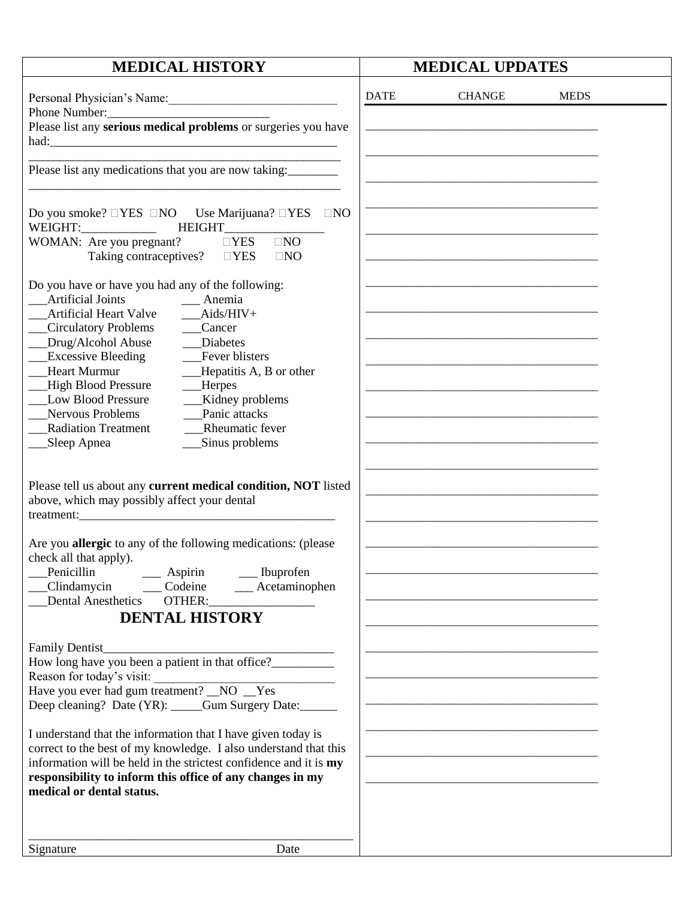| <b>MEDICAL HISTORY</b>                                                                                                                                                                                                                                                                                                                                                                                                                                                                            |             | <b>MEDICAL UPDATES</b>                            |  |  |
|---------------------------------------------------------------------------------------------------------------------------------------------------------------------------------------------------------------------------------------------------------------------------------------------------------------------------------------------------------------------------------------------------------------------------------------------------------------------------------------------------|-------------|---------------------------------------------------|--|--|
| Personal Physician's Name:<br>Phone Number:                                                                                                                                                                                                                                                                                                                                                                                                                                                       | <b>DATE</b> | <b>CHANGE</b><br><b>MEDS</b>                      |  |  |
| Please list any serious medical problems or surgeries you have                                                                                                                                                                                                                                                                                                                                                                                                                                    |             | <u> 1980 - Johann Barbara, martxa alemaniar a</u> |  |  |
| Please list any medications that you are now taking:                                                                                                                                                                                                                                                                                                                                                                                                                                              |             |                                                   |  |  |
| Do you smoke? $\Box$ YES $\Box$ NO Use Marijuana? $\Box$ YES<br>$\Box$ NO<br>WEIGHT: NET<br><b>HEIGHT</b><br>$\Box$ NO<br>WOMAN: Are you pregnant?<br>$\Box$ YES<br>Taking contraceptives?<br>$\Box$ YES<br>$\Box$ NO                                                                                                                                                                                                                                                                             |             |                                                   |  |  |
| Do you have or have you had any of the following:<br><b>Artificial Joints</b><br>Anemia<br><b>Artificial Heart Valve</b><br>$Aids/HIV+$<br>Circulatory Problems<br>Cancer<br>Drug/Alcohol Abuse<br>Diabetes<br><b>Excessive Bleeding</b><br>Fever blisters<br><b>Heart Murmur</b><br>Hepatitis A, B or other<br><b>High Blood Pressure</b><br><b>Herpes</b><br><b>Low Blood Pressure</b><br>Kidney problems<br>Panic attacks<br>Nervous Problems<br>Rheumatic fever<br><b>Radiation Treatment</b> |             |                                                   |  |  |
| Sinus problems<br>Sleep Apnea<br>Please tell us about any current medical condition, NOT listed<br>above, which may possibly affect your dental                                                                                                                                                                                                                                                                                                                                                   |             |                                                   |  |  |
| Are you allergic to any of the following medications: (please<br>check all that apply).<br>Penicillin<br>Aspirin<br>_Ibuprofen<br>Codeine<br>Acetaminophen<br>Clindamycin<br><b>Dental Anesthetics</b><br>OTHER:<br><b>DENTAL HISTORY</b>                                                                                                                                                                                                                                                         |             |                                                   |  |  |
| Family Dentist_<br>How long have you been a patient in that office?<br>Reason for today's visit:<br>Have you ever had gum treatment? _NO _Yes<br>Deep cleaning? Date (YR): ____Gum Surgery Date: _____                                                                                                                                                                                                                                                                                            |             |                                                   |  |  |
| I understand that the information that I have given today is<br>correct to the best of my knowledge. I also understand that this<br>information will be held in the strictest confidence and it is my<br>responsibility to inform this office of any changes in my<br>medical or dental status.                                                                                                                                                                                                   |             |                                                   |  |  |
| Date<br>Signature                                                                                                                                                                                                                                                                                                                                                                                                                                                                                 |             |                                                   |  |  |
|                                                                                                                                                                                                                                                                                                                                                                                                                                                                                                   |             |                                                   |  |  |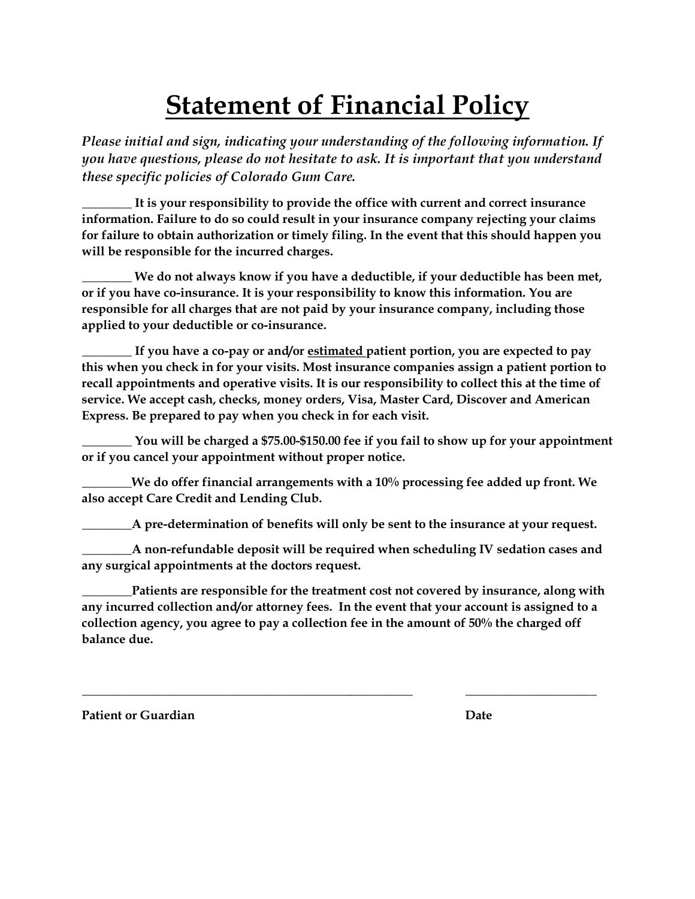## **Statement of Financial Policy**

*Please initial and sign, indicating your understanding of the following information. If you have questions, please do not hesitate to ask. It is important that you understand these specific policies of Colorado Gum Care.*

**\_\_\_\_\_\_\_\_ It is your responsibility to provide the office with current and correct insurance information. Failure to do so could result in your insurance company rejecting your claims for failure to obtain authorization or timely filing. In the event that this should happen you will be responsible for the incurred charges.**

**\_\_\_\_\_\_\_\_ We do not always know if you have a deductible, if your deductible has been met, or if you have co-insurance. It is your responsibility to know this information. You are responsible for all charges that are not paid by your insurance company, including those applied to your deductible or co-insurance.**

**\_\_\_\_\_\_\_\_ If you have a co-pay or and/or estimated patient portion, you are expected to pay this when you check in for your visits. Most insurance companies assign a patient portion to recall appointments and operative visits. It is our responsibility to collect this at the time of service. We accept cash, checks, money orders, Visa, Master Card, Discover and American Express. Be prepared to pay when you check in for each visit.**

**\_\_\_\_\_\_\_\_ You will be charged a \$75.00-\$150.00 fee if you fail to show up for your appointment or if you cancel your appointment without proper notice.**

**\_\_\_\_\_\_\_\_We do offer financial arrangements with a 10% processing fee added up front. We also accept Care Credit and Lending Club.** 

**\_\_\_\_\_\_\_\_A pre-determination of benefits will only be sent to the insurance at your request.**

**\_\_\_\_\_\_\_\_A non-refundable deposit will be required when scheduling IV sedation cases and any surgical appointments at the doctors request.** 

**\_\_\_\_\_\_\_\_Patients are responsible for the treatment cost not covered by insurance, along with any incurred collection and/or attorney fees. In the event that your account is assigned to a collection agency, you agree to pay a collection fee in the amount of 50% the charged off balance due.** 

**\_\_\_\_\_\_\_\_\_\_\_\_\_\_\_\_\_\_\_\_\_\_\_\_\_\_\_\_\_\_\_\_\_\_\_\_\_\_\_\_\_\_\_\_\_\_\_\_\_\_\_\_\_ \_\_\_\_\_\_\_\_\_\_\_\_\_\_\_\_\_\_\_\_\_**

**Patient or Guardian Communication Communication Communication Communication Communication Communication Communication Communication Communication Communication Communication Communication Communication Communication Commu**